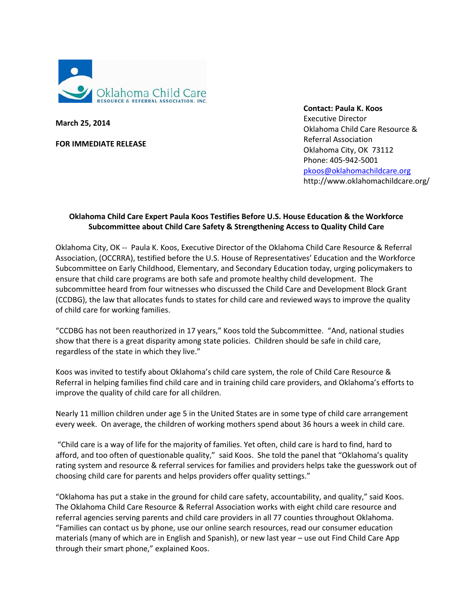

**March 25, 2014**

**FOR IMMEDIATE RELEASE**

**Contact: Paula K. Koos** Executive Director Oklahoma Child Care Resource & Referral Association Oklahoma City, OK 73112 Phone: 405-942-5001 [pkoos@oklahomachildcare.org](mailto:pkoos@oklahomachildcare.org) http://www.oklahomachildcare.org/

## **Oklahoma Child Care Expert Paula Koos Testifies Before U.S. House Education & the Workforce Subcommittee about Child Care Safety & Strengthening Access to Quality Child Care**

Oklahoma City, OK -- Paula K. Koos, Executive Director of the Oklahoma Child Care Resource & Referral Association, (OCCRRA), testified before the U.S. House of Representatives' Education and the Workforce Subcommittee on Early Childhood, Elementary, and Secondary Education today, urging policymakers to ensure that child care programs are both safe and promote healthy child development. The subcommittee heard from four witnesses who discussed the Child Care and Development Block Grant (CCDBG), the law that allocates funds to states for child care and reviewed ways to improve the quality of child care for working families.

"CCDBG has not been reauthorized in 17 years," Koos told the Subcommittee. "And, national studies show that there is a great disparity among state policies. Children should be safe in child care, regardless of the state in which they live."

Koos was invited to testify about Oklahoma's child care system, the role of Child Care Resource & Referral in helping families find child care and in training child care providers, and Oklahoma's efforts to improve the quality of child care for all children.

Nearly 11 million children under age 5 in the United States are in some type of child care arrangement every week. On average, the children of working mothers spend about 36 hours a week in child care.

"Child care is a way of life for the majority of families. Yet often, child care is hard to find, hard to afford, and too often of questionable quality," said Koos. She told the panel that "Oklahoma's quality rating system and resource & referral services for families and providers helps take the guesswork out of choosing child care for parents and helps providers offer quality settings."

"Oklahoma has put a stake in the ground for child care safety, accountability, and quality," said Koos. The Oklahoma Child Care Resource & Referral Association works with eight child care resource and referral agencies serving parents and child care providers in all 77 counties throughout Oklahoma. "Families can contact us by phone, use our online search resources, read our consumer education materials (many of which are in English and Spanish), or new last year – use out Find Child Care App through their smart phone," explained Koos.